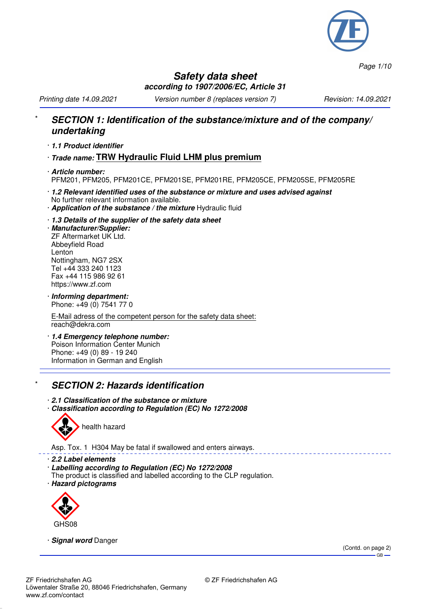

*Page 1/10*

#### **Safety data sheet according to 1907/2006/EC, Article 31**

*Printing date 14.09.2021 Version number 8 (replaces version 7) Revision: 14.09.2021*

#### \* **SECTION 1: Identification of the substance/mixture and of the company/ undertaking**

- · **1.1 Product identifier**
- · **Trade name: TRW Hydraulic Fluid LHM plus premium**
- · **Article number:** PFM201, PFM205, PFM201CE, PFM201SE, PFM201RE, PFM205CE, PFM205SE, PFM205RE
- · **1.2 Relevant identified uses of the substance or mixture and uses advised against** No further relevant information available.
- · **Application of the substance / the mixture** Hydraulic fluid
- · **1.3 Details of the supplier of the safety data sheet**

· **Manufacturer/Supplier:** ZF Aftermarket UK Ltd. Abbeyfield Road Lenton Nottingham, NG7 2SX Tel +44 333 240 1123 Fax +44 115 986 92 61 https://www.zf.com

· **Informing department:** Phone: +49 (0) 7541 77 0

E-Mail adress of the competent person for the safety data sheet: reach@dekra.com

· **1.4 Emergency telephone number:** Poison Information Center Munich Phone: +49 (0) 89 - 19 240 Information in German and English

## **SECTION 2: Hazards identification**

- · **2.1 Classification of the substance or mixture**
- · **Classification according to Regulation (EC) No 1272/2008**



Asp. Tox. 1 H304 May be fatal if swallowed and enters airways.

- · **2.2 Label elements**
- · **Labelling according to Regulation (EC) No 1272/2008**
- The product is classified and labelled according to the CLP regulation.
- · **Hazard pictograms**



· **Signal word** Danger

(Contd. on page 2)  $-GB$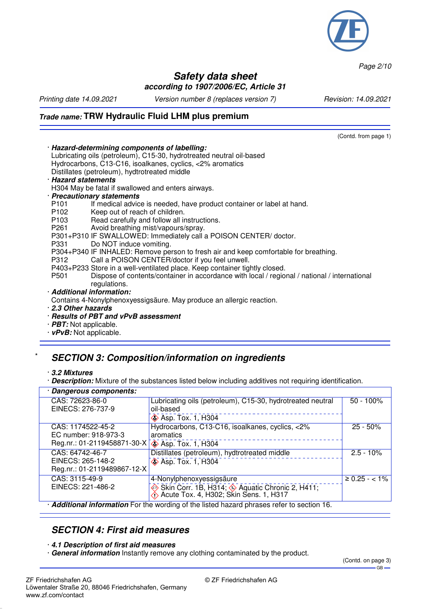

*Page 2/10*

#### **Safety data sheet according to 1907/2006/EC, Article 31**

*Printing date 14.09.2021 Version number 8 (replaces version 7) Revision: 14.09.2021*

(Contd. from page 1)

## **Trade name: TRW Hydraulic Fluid LHM plus premium**

| · Hazard-determining components of labelling:                                                                    |  |  |  |  |
|------------------------------------------------------------------------------------------------------------------|--|--|--|--|
| Lubricating oils (petroleum), C15-30, hydrotreated neutral oil-based                                             |  |  |  |  |
| Hydrocarbons, C13-C16, isoalkanes, cyclics, <2% aromatics                                                        |  |  |  |  |
| Distillates (petroleum), hydtrotreated middle                                                                    |  |  |  |  |
| · Hazard statements                                                                                              |  |  |  |  |
| H304 May be fatal if swallowed and enters airways.                                                               |  |  |  |  |
| · Precautionary statements                                                                                       |  |  |  |  |
| P101<br>If medical advice is needed, have product container or label at hand.                                    |  |  |  |  |
| Keep out of reach of children.<br>P102                                                                           |  |  |  |  |
| Read carefully and follow all instructions.<br>P103                                                              |  |  |  |  |
| Avoid breathing mist/vapours/spray.<br>P261                                                                      |  |  |  |  |
| P301+P310 IF SWALLOWED: Immediately call a POISON CENTER/ doctor.                                                |  |  |  |  |
| Do NOT induce vomiting.<br>P331                                                                                  |  |  |  |  |
| P304+P340 IF INHALED: Remove person to fresh air and keep comfortable for breathing.                             |  |  |  |  |
| Call a POISON CENTER/doctor if you feel unwell.<br>P312                                                          |  |  |  |  |
| P403+P233 Store in a well-ventilated place. Keep container tightly closed.                                       |  |  |  |  |
| Dispose of contents/container in accordance with local / regional / national / international<br>P <sub>501</sub> |  |  |  |  |
| regulations.                                                                                                     |  |  |  |  |
| · Additional information:                                                                                        |  |  |  |  |
| Contains 4-Nonylphenoxyessigsäure. May produce an allergic reaction.                                             |  |  |  |  |
| 2.3 Other hazards                                                                                                |  |  |  |  |
| · Results of PBT and vPvB assessment                                                                             |  |  |  |  |
| $\cdot$ <i>PBT:</i> Not applicable.                                                                              |  |  |  |  |
|                                                                                                                  |  |  |  |  |

· **vPvB:** Not applicable.

## \* **SECTION 3: Composition/information on ingredients**

- · **3.2 Mixtures**
- · **Description:** Mixture of the substances listed below including additives not requiring identification.

| · Dangerous components:                                                                       |                                                            |                     |  |
|-----------------------------------------------------------------------------------------------|------------------------------------------------------------|---------------------|--|
| CAS: 72623-86-0                                                                               | Lubricating oils (petroleum), C15-30, hydrotreated neutral | $50 - 100\%$        |  |
| EINECS: 276-737-9                                                                             | oil-based                                                  |                     |  |
|                                                                                               | <b>◆ Asp. Tox. 1, H304</b>                                 |                     |  |
| CAS: 1174522-45-2                                                                             | Hydrocarbons, C13-C16, isoalkanes, cyclics, <2%            | $25 - 50\%$         |  |
| EC number: 918-973-3                                                                          | aromatics                                                  |                     |  |
| Reg.nr.: 01-2119458871-30-X 3p. Tox. 1, H304                                                  |                                                            |                     |  |
| CAS: 64742-46-7                                                                               | Distillates (petroleum), hydtrotreated middle              | $2.5 - 10%$         |  |
| EINECS: 265-148-2                                                                             | <b>S</b> Asp. Tox. 1, H304                                 |                     |  |
| Reg.nr.: 01-2119489867-12-X                                                                   |                                                            |                     |  |
| CAS: 3115-49-9                                                                                | 4-Nonylphenoxyessigsäure                                   | $\geq 0.25 - < 1\%$ |  |
| EINECS: 221-486-2                                                                             | Skin Corr. 1B, H314; Saquatic Chronic 2, H411;             |                     |  |
|                                                                                               |                                                            |                     |  |
| a dalaliti angli indomentian Eautha wanding at the listed becaud plugges naturale assistant C |                                                            |                     |  |

· **Additional information** For the wording of the listed hazard phrases refer to section 16.

#### **SECTION 4: First aid measures**

#### · **4.1 Description of first aid measures**

· **General information** Instantly remove any clothing contaminated by the product.

(Contd. on page 3)  $-$  GB  $-$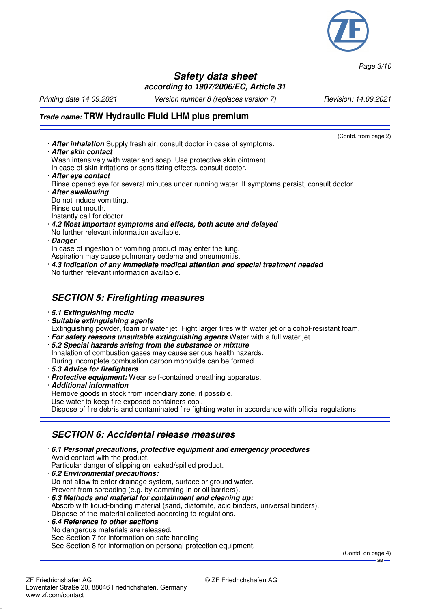

*Page 3/10*

#### **Safety data sheet according to 1907/2006/EC, Article 31**

*Printing date 14.09.2021 Version number 8 (replaces version 7) Revision: 14.09.2021*

# **Trade name: TRW Hydraulic Fluid LHM plus premium**

- (Contd. from page 2) · **After inhalation** Supply fresh air; consult doctor in case of symptoms. · **After skin contact** Wash intensively with water and soap. Use protective skin ointment. In case of skin irritations or sensitizing effects, consult doctor. · **After eye contact** Rinse opened eye for several minutes under running water. If symptoms persist, consult doctor. · **After swallowing** Do not induce vomitting. Rinse out mouth. Instantly call for doctor. · **4.2 Most important symptoms and effects, both acute and delayed** No further relevant information available. · **Danger** In case of ingestion or vomiting product may enter the lung. Aspiration may cause pulmonary oedema and pneumonitis. · **4.3 Indication of any immediate medical attention and special treatment needed** No further relevant information available. **SECTION 5: Firefighting measures** · **5.1 Extinguishing media** · **Suitable extinguishing agents**
	- Extinguishing powder, foam or water jet. Fight larger fires with water jet or alcohol-resistant foam.
	- · **For safety reasons unsuitable extinguishing agents** Water with a full water jet.
- · **5.2 Special hazards arising from the substance or mixture** Inhalation of combustion gases may cause serious health hazards. During incomplete combustion carbon monoxide can be formed.
- · **5.3 Advice for firefighters**
- · **Protective equipment:** Wear self-contained breathing apparatus.
- · **Additional information**

Remove goods in stock from incendiary zone, if possible.

Use water to keep fire exposed containers cool.

Dispose of fire debris and contaminated fire fighting water in accordance with official regulations.

# **SECTION 6: Accidental release measures**

- · **6.1 Personal precautions, protective equipment and emergency procedures** Avoid contact with the product. Particular danger of slipping on leaked/spilled product.
- · **6.2 Environmental precautions:** Do not allow to enter drainage system, surface or ground water. Prevent from spreading (e.g. by damming-in or oil barriers).
- · **6.3 Methods and material for containment and cleaning up:** Absorb with liquid-binding material (sand, diatomite, acid binders, universal binders). Dispose of the material collected according to regulations.
- · **6.4 Reference to other sections** No dangerous materials are released. See Section 7 for information on safe handling See Section 8 for information on personal protection equipment.

(Contd. on page 4) GB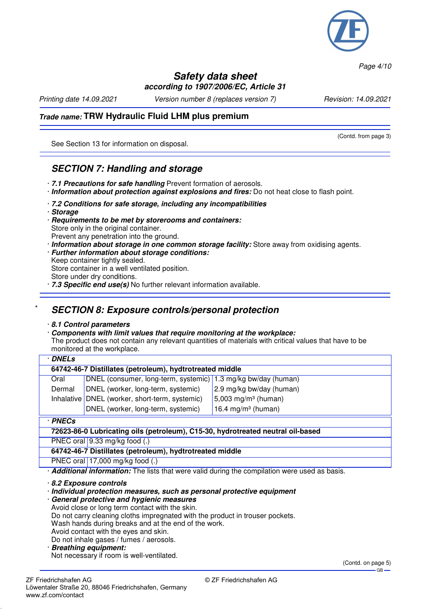

*Page 4/10*

#### **Safety data sheet according to 1907/2006/EC, Article 31**

*Printing date 14.09.2021 Version number 8 (replaces version 7) Revision: 14.09.2021*

(Contd. from page 3)

## **Trade name: TRW Hydraulic Fluid LHM plus premium**

See Section 13 for information on disposal.

## **SECTION 7: Handling and storage**

- · **7.1 Precautions for safe handling** Prevent formation of aerosols.
- · **Information about protection against explosions and fires:** Do not heat close to flash point.
- · **7.2 Conditions for safe storage, including any incompatibilities**
- · **Storage**
- · **Requirements to be met by storerooms and containers:** Store only in the original container. Prevent any penetration into the ground.
- · **Information about storage in one common storage facility:** Store away from oxidising agents.
- · **Further information about storage conditions:** Keep container tightly sealed. Store container in a well ventilated position.
- Store under dry conditions.
- · **7.3 Specific end use(s)** No further relevant information available.

## \* **SECTION 8: Exposure controls/personal protection**

#### · **8.1 Control parameters**

· **Components with limit values that require monitoring at the workplace:** The product does not contain any relevant quantities of materials with critical values that have to be monitored at the workplace.

|                                                                                 | · DNELs                                                         |                                 |  |  |  |  |
|---------------------------------------------------------------------------------|-----------------------------------------------------------------|---------------------------------|--|--|--|--|
|                                                                                 | 64742-46-7 Distillates (petroleum), hydtrotreated middle        |                                 |  |  |  |  |
| Oral                                                                            | DNEL (consumer, long-term, systemic)   1.3 mg/kg bw/day (human) |                                 |  |  |  |  |
| Dermal                                                                          | DNEL (worker, long-term, systemic)                              | 2.9 mg/kg bw/day (human)        |  |  |  |  |
|                                                                                 | Inhalative DNEL (worker, short-term, systemic)                  | 5,003 mg/m <sup>3</sup> (human) |  |  |  |  |
|                                                                                 | DNEL (worker, long-term, systemic)                              | 16.4 mg/m <sup>3</sup> (human)  |  |  |  |  |
|                                                                                 | · PNECs                                                         |                                 |  |  |  |  |
| 72623-86-0 Lubricating oils (petroleum), C15-30, hydrotreated neutral oil-based |                                                                 |                                 |  |  |  |  |
|                                                                                 | PNEC oral $9.33$ mg/kg food (.)                                 |                                 |  |  |  |  |
| 64742-46-7 Distillates (petroleum), hydtrotreated middle                        |                                                                 |                                 |  |  |  |  |
|                                                                                 | PNEC oral $ 17,000 \text{ mg/kg}$ food (.)                      |                                 |  |  |  |  |

· **Additional information:** The lists that were valid during the compilation were used as basis.

· **8.2 Exposure controls**

· **Individual protection measures, such as personal protective equipment**

- · **General protective and hygienic measures**
- Avoid close or long term contact with the skin.

Do not carry cleaning cloths impregnated with the product in trouser pockets.

Wash hands during breaks and at the end of the work.

Avoid contact with the eyes and skin.

Do not inhale gases / fumes / aerosols.

· **Breathing equipment:**

Not necessary if room is well-ventilated.

(Contd. on page 5) GB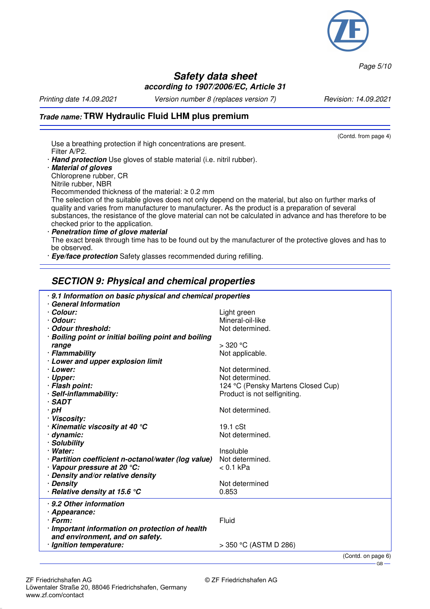

*Page 5/10*

GB

#### **Safety data sheet according to 1907/2006/EC, Article 31**

*Printing date 14.09.2021 Version number 8 (replaces version 7) Revision: 14.09.2021*

#### **Trade name: TRW Hydraulic Fluid LHM plus premium** (Contd. from page 4) Use a breathing protection if high concentrations are present. Filter A/P2. · **Hand protection** Use gloves of stable material (i.e. nitril rubber). · **Material of gloves** Chloroprene rubber, CR Nitrile rubber, NBR Recommended thickness of the material: ≥ 0.2 mm The selection of the suitable gloves does not only depend on the material, but also on further marks of quality and varies from manufacturer to manufacturer. As the product is a preparation of several substances, the resistance of the glove material can not be calculated in advance and has therefore to be checked prior to the application. · **Penetration time of glove material** The exact break through time has to be found out by the manufacturer of the protective gloves and has to be observed. · **Eye/face protection** Safety glasses recommended during refilling.

# **SECTION 9: Physical and chemical properties**

| . 9.1 Information on basic physical and chemical properties<br>· General Information<br>· Colour:<br>Light green<br>Mineral-oil-like<br>· Odour:<br>Odour threshold:<br>Not determined.<br>· Boiling point or initial boiling point and boiling<br>$>$ 320 °C<br>range<br>· Flammability<br>Not applicable.<br>· Lower and upper explosion limit<br>· Lower:<br>Not determined.<br>· Upper:<br>Not determined.<br>· Flash point:<br>124 °C (Pensky Martens Closed Cup)<br>· Self-inflammability:<br>Product is not selfigniting.<br>$\cdot$ SADT<br>$\cdot$ pH<br>Not determined.<br>· Viscosity:<br>$\cdot$ Kinematic viscosity at 40 $\degree$ C<br>$19.1 \text{ cSt}$<br>· dynamic:<br>Not determined.<br>· Solubility<br>· Water:<br>Insoluble<br>Not determined.<br>· Partition coefficient n-octanol/water (log value)<br>Vapour pressure at 20 °C:<br>< 0.1 kPa<br>· Density and/or relative density<br>Not determined<br>· Density<br>$\cdot$ Relative density at 15.6 $\degree$ C<br>0.853<br>· 9.2 Other information<br>· Appearance:<br>$\cdot$ Form:<br>Fluid<br>· Important information on protection of health<br>and environment, and on safety.<br>· Ignition temperature:<br>$>$ 350 °C (ASTM D 286)<br>(Contd. on page 6) |  |
|---------------------------------------------------------------------------------------------------------------------------------------------------------------------------------------------------------------------------------------------------------------------------------------------------------------------------------------------------------------------------------------------------------------------------------------------------------------------------------------------------------------------------------------------------------------------------------------------------------------------------------------------------------------------------------------------------------------------------------------------------------------------------------------------------------------------------------------------------------------------------------------------------------------------------------------------------------------------------------------------------------------------------------------------------------------------------------------------------------------------------------------------------------------------------------------------------------------------------------------------|--|
|                                                                                                                                                                                                                                                                                                                                                                                                                                                                                                                                                                                                                                                                                                                                                                                                                                                                                                                                                                                                                                                                                                                                                                                                                                             |  |
|                                                                                                                                                                                                                                                                                                                                                                                                                                                                                                                                                                                                                                                                                                                                                                                                                                                                                                                                                                                                                                                                                                                                                                                                                                             |  |
|                                                                                                                                                                                                                                                                                                                                                                                                                                                                                                                                                                                                                                                                                                                                                                                                                                                                                                                                                                                                                                                                                                                                                                                                                                             |  |
|                                                                                                                                                                                                                                                                                                                                                                                                                                                                                                                                                                                                                                                                                                                                                                                                                                                                                                                                                                                                                                                                                                                                                                                                                                             |  |
|                                                                                                                                                                                                                                                                                                                                                                                                                                                                                                                                                                                                                                                                                                                                                                                                                                                                                                                                                                                                                                                                                                                                                                                                                                             |  |
|                                                                                                                                                                                                                                                                                                                                                                                                                                                                                                                                                                                                                                                                                                                                                                                                                                                                                                                                                                                                                                                                                                                                                                                                                                             |  |
|                                                                                                                                                                                                                                                                                                                                                                                                                                                                                                                                                                                                                                                                                                                                                                                                                                                                                                                                                                                                                                                                                                                                                                                                                                             |  |
|                                                                                                                                                                                                                                                                                                                                                                                                                                                                                                                                                                                                                                                                                                                                                                                                                                                                                                                                                                                                                                                                                                                                                                                                                                             |  |
|                                                                                                                                                                                                                                                                                                                                                                                                                                                                                                                                                                                                                                                                                                                                                                                                                                                                                                                                                                                                                                                                                                                                                                                                                                             |  |
|                                                                                                                                                                                                                                                                                                                                                                                                                                                                                                                                                                                                                                                                                                                                                                                                                                                                                                                                                                                                                                                                                                                                                                                                                                             |  |
|                                                                                                                                                                                                                                                                                                                                                                                                                                                                                                                                                                                                                                                                                                                                                                                                                                                                                                                                                                                                                                                                                                                                                                                                                                             |  |
|                                                                                                                                                                                                                                                                                                                                                                                                                                                                                                                                                                                                                                                                                                                                                                                                                                                                                                                                                                                                                                                                                                                                                                                                                                             |  |
|                                                                                                                                                                                                                                                                                                                                                                                                                                                                                                                                                                                                                                                                                                                                                                                                                                                                                                                                                                                                                                                                                                                                                                                                                                             |  |
|                                                                                                                                                                                                                                                                                                                                                                                                                                                                                                                                                                                                                                                                                                                                                                                                                                                                                                                                                                                                                                                                                                                                                                                                                                             |  |
|                                                                                                                                                                                                                                                                                                                                                                                                                                                                                                                                                                                                                                                                                                                                                                                                                                                                                                                                                                                                                                                                                                                                                                                                                                             |  |
|                                                                                                                                                                                                                                                                                                                                                                                                                                                                                                                                                                                                                                                                                                                                                                                                                                                                                                                                                                                                                                                                                                                                                                                                                                             |  |
|                                                                                                                                                                                                                                                                                                                                                                                                                                                                                                                                                                                                                                                                                                                                                                                                                                                                                                                                                                                                                                                                                                                                                                                                                                             |  |
|                                                                                                                                                                                                                                                                                                                                                                                                                                                                                                                                                                                                                                                                                                                                                                                                                                                                                                                                                                                                                                                                                                                                                                                                                                             |  |
|                                                                                                                                                                                                                                                                                                                                                                                                                                                                                                                                                                                                                                                                                                                                                                                                                                                                                                                                                                                                                                                                                                                                                                                                                                             |  |
|                                                                                                                                                                                                                                                                                                                                                                                                                                                                                                                                                                                                                                                                                                                                                                                                                                                                                                                                                                                                                                                                                                                                                                                                                                             |  |
|                                                                                                                                                                                                                                                                                                                                                                                                                                                                                                                                                                                                                                                                                                                                                                                                                                                                                                                                                                                                                                                                                                                                                                                                                                             |  |
|                                                                                                                                                                                                                                                                                                                                                                                                                                                                                                                                                                                                                                                                                                                                                                                                                                                                                                                                                                                                                                                                                                                                                                                                                                             |  |
|                                                                                                                                                                                                                                                                                                                                                                                                                                                                                                                                                                                                                                                                                                                                                                                                                                                                                                                                                                                                                                                                                                                                                                                                                                             |  |
|                                                                                                                                                                                                                                                                                                                                                                                                                                                                                                                                                                                                                                                                                                                                                                                                                                                                                                                                                                                                                                                                                                                                                                                                                                             |  |
|                                                                                                                                                                                                                                                                                                                                                                                                                                                                                                                                                                                                                                                                                                                                                                                                                                                                                                                                                                                                                                                                                                                                                                                                                                             |  |
|                                                                                                                                                                                                                                                                                                                                                                                                                                                                                                                                                                                                                                                                                                                                                                                                                                                                                                                                                                                                                                                                                                                                                                                                                                             |  |
|                                                                                                                                                                                                                                                                                                                                                                                                                                                                                                                                                                                                                                                                                                                                                                                                                                                                                                                                                                                                                                                                                                                                                                                                                                             |  |
|                                                                                                                                                                                                                                                                                                                                                                                                                                                                                                                                                                                                                                                                                                                                                                                                                                                                                                                                                                                                                                                                                                                                                                                                                                             |  |
|                                                                                                                                                                                                                                                                                                                                                                                                                                                                                                                                                                                                                                                                                                                                                                                                                                                                                                                                                                                                                                                                                                                                                                                                                                             |  |
|                                                                                                                                                                                                                                                                                                                                                                                                                                                                                                                                                                                                                                                                                                                                                                                                                                                                                                                                                                                                                                                                                                                                                                                                                                             |  |
|                                                                                                                                                                                                                                                                                                                                                                                                                                                                                                                                                                                                                                                                                                                                                                                                                                                                                                                                                                                                                                                                                                                                                                                                                                             |  |
|                                                                                                                                                                                                                                                                                                                                                                                                                                                                                                                                                                                                                                                                                                                                                                                                                                                                                                                                                                                                                                                                                                                                                                                                                                             |  |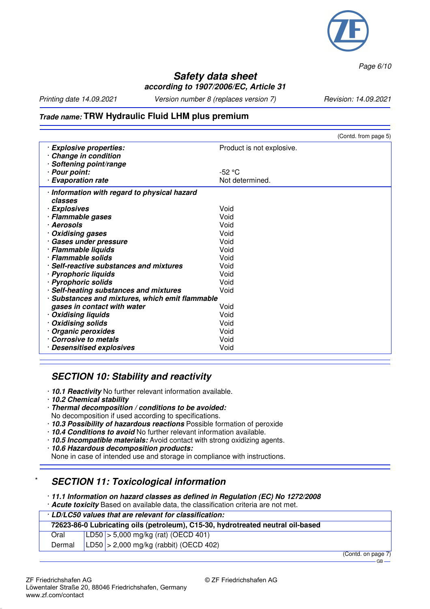

*Page 6/10*

## **Safety data sheet according to 1907/2006/EC, Article 31**

*Printing date 14.09.2021 Version number 8 (replaces version 7) Revision: 14.09.2021*

## **Trade name: TRW Hydraulic Fluid LHM plus premium**

|                                                 |                           | (Contd. from page 5) |
|-------------------------------------------------|---------------------------|----------------------|
| · Explosive properties:                         | Product is not explosive. |                      |
| Change in condition                             |                           |                      |
| Softening point/range                           |                           |                      |
| · Pour point:                                   | $-52 °C$                  |                      |
| · Evaporation rate                              | Not determined.           |                      |
| · Information with regard to physical hazard    |                           |                      |
| classes                                         |                           |                      |
| · Explosives                                    | Void                      |                      |
| · Flammable gases                               | Void                      |                      |
| · Aerosols                                      | Void                      |                      |
| <b>Oxidising gases</b>                          | Void                      |                      |
| · Gases under pressure                          | Void                      |                      |
| · Flammable liquids                             | Void                      |                      |
| · Flammable solids                              | Void                      |                      |
| · Self-reactive substances and mixtures         | Void                      |                      |
| · Pyrophoric liquids                            | Void                      |                      |
| · Pyrophoric solids                             | Void                      |                      |
| · Self-heating substances and mixtures          | Void                      |                      |
| · Substances and mixtures, which emit flammable |                           |                      |
| gases in contact with water                     | Void                      |                      |
| <b>Oxidising liquids</b>                        | Void                      |                      |
| · Oxidising solids                              | Void                      |                      |
| <b>Organic peroxides</b>                        | Void                      |                      |
| <b>Corrosive to metals</b>                      | Void                      |                      |
| · Desensitised explosives                       | Void                      |                      |

## **SECTION 10: Stability and reactivity**

- · **10.1 Reactivity** No further relevant information available.
- · **10.2 Chemical stability**
- · **Thermal decomposition / conditions to be avoided:**
- No decomposition if used according to specifications.
- · **10.3 Possibility of hazardous reactions** Possible formation of peroxide
- · **10.4 Conditions to avoid** No further relevant information available.
- · **10.5 Incompatible materials:** Avoid contact with strong oxidizing agents.
- · **10.6 Hazardous decomposition products:**

None in case of intended use and storage in compliance with instructions.

## **SECTION 11: Toxicological information**

· **11.1 Information on hazard classes as defined in Regulation (EC) No 1272/2008**

· **Acute toxicity** Based on available data, the classification criteria are not met.

#### · **LD/LC50 values that are relevant for classification:**

| 72623-86-0 Lubricating oils (petroleum), C15-30, hydrotreated neutral oil-based |  |                                            |     |  |  |
|---------------------------------------------------------------------------------|--|--------------------------------------------|-----|--|--|
| Oral                                                                            |  | $ LD50 $ > 5,000 mg/kg (rat) (OECD 401)    |     |  |  |
| Dermal                                                                          |  | $ LD50 $ > 2,000 mg/kg (rabbit) (OECD 402) |     |  |  |
|                                                                                 |  |                                            | $-$ |  |  |

(Contd. on page 7)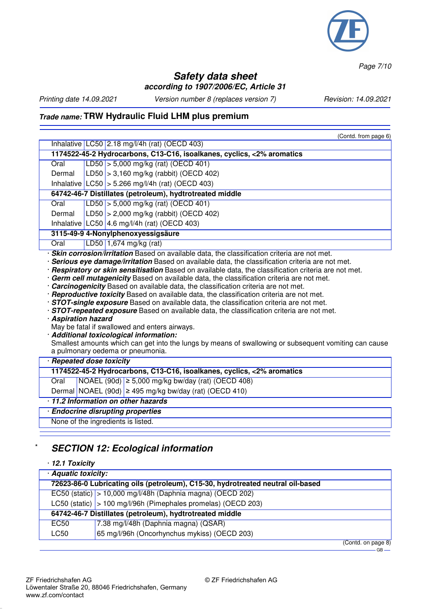

*Page 7/10*

## **Safety data sheet according to 1907/2006/EC, Article 31**

*Printing date 14.09.2021 Version number 8 (replaces version 7) Revision: 14.09.2021*

# **Trade name: TRW Hydraulic Fluid LHM plus premium**

|                                                                                                                                                                                                                                                                                                                                                                                                                                                                                                                                                                                                                                                                                                                                                                                                                                                                                                                                                             | (Contd. from page 6)                                                   |  |  |  |  |
|-------------------------------------------------------------------------------------------------------------------------------------------------------------------------------------------------------------------------------------------------------------------------------------------------------------------------------------------------------------------------------------------------------------------------------------------------------------------------------------------------------------------------------------------------------------------------------------------------------------------------------------------------------------------------------------------------------------------------------------------------------------------------------------------------------------------------------------------------------------------------------------------------------------------------------------------------------------|------------------------------------------------------------------------|--|--|--|--|
|                                                                                                                                                                                                                                                                                                                                                                                                                                                                                                                                                                                                                                                                                                                                                                                                                                                                                                                                                             | Inhalative LC50 2.18 mg/l/4h (rat) (OECD 403)                          |  |  |  |  |
| 1174522-45-2 Hydrocarbons, C13-C16, isoalkanes, cyclics, <2% aromatics                                                                                                                                                                                                                                                                                                                                                                                                                                                                                                                                                                                                                                                                                                                                                                                                                                                                                      |                                                                        |  |  |  |  |
| Oral                                                                                                                                                                                                                                                                                                                                                                                                                                                                                                                                                                                                                                                                                                                                                                                                                                                                                                                                                        | LD50 $> 5,000$ mg/kg (rat) (OECD 401)                                  |  |  |  |  |
| Dermal                                                                                                                                                                                                                                                                                                                                                                                                                                                                                                                                                                                                                                                                                                                                                                                                                                                                                                                                                      | LD50 $>$ 3,160 mg/kg (rabbit) (OECD 402)                               |  |  |  |  |
|                                                                                                                                                                                                                                                                                                                                                                                                                                                                                                                                                                                                                                                                                                                                                                                                                                                                                                                                                             | Inhalative $ LC50 $ > 5.266 mg/l/4h (rat) (OECD 403)                   |  |  |  |  |
|                                                                                                                                                                                                                                                                                                                                                                                                                                                                                                                                                                                                                                                                                                                                                                                                                                                                                                                                                             | 64742-46-7 Distillates (petroleum), hydtrotreated middle               |  |  |  |  |
| Oral                                                                                                                                                                                                                                                                                                                                                                                                                                                                                                                                                                                                                                                                                                                                                                                                                                                                                                                                                        | LD50 $> 5,000$ mg/kg (rat) (OECD 401)                                  |  |  |  |  |
| Dermal                                                                                                                                                                                                                                                                                                                                                                                                                                                                                                                                                                                                                                                                                                                                                                                                                                                                                                                                                      | LD50 $>$ 2,000 mg/kg (rabbit) (OECD 402)                               |  |  |  |  |
|                                                                                                                                                                                                                                                                                                                                                                                                                                                                                                                                                                                                                                                                                                                                                                                                                                                                                                                                                             | Inhalative   LC50   4.6 mg/l/4h (rat) (OECD 403)                       |  |  |  |  |
|                                                                                                                                                                                                                                                                                                                                                                                                                                                                                                                                                                                                                                                                                                                                                                                                                                                                                                                                                             | 3115-49-9 4-Nonylphenoxyessigsäure                                     |  |  |  |  |
| Oral                                                                                                                                                                                                                                                                                                                                                                                                                                                                                                                                                                                                                                                                                                                                                                                                                                                                                                                                                        | LD50 1,674 mg/kg (rat)                                                 |  |  |  |  |
| Serious eye damage/irritation Based on available data, the classification criteria are not met.<br>· Respiratory or skin sensitisation Based on available data, the classification criteria are not met.<br>· Germ cell mutagenicity Based on available data, the classification criteria are not met.<br>· Carcinogenicity Based on available data, the classification criteria are not met.<br>· Reproductive toxicity Based on available data, the classification criteria are not met.<br>· <b>STOT-single exposure</b> Based on available data, the classification criteria are not met.<br>· STOT-repeated exposure Based on available data, the classification criteria are not met.<br>· Aspiration hazard<br>May be fatal if swallowed and enters airways.<br>· Additional toxicological information:<br>Smallest amounts which can get into the lungs by means of swallowing or subsequent vomiting can cause<br>a pulmonary oedema or pneumonia. |                                                                        |  |  |  |  |
| · Repeated dose toxicity                                                                                                                                                                                                                                                                                                                                                                                                                                                                                                                                                                                                                                                                                                                                                                                                                                                                                                                                    |                                                                        |  |  |  |  |
|                                                                                                                                                                                                                                                                                                                                                                                                                                                                                                                                                                                                                                                                                                                                                                                                                                                                                                                                                             | 1174522-45-2 Hydrocarbons, C13-C16, isoalkanes, cyclics, <2% aromatics |  |  |  |  |
| Oral                                                                                                                                                                                                                                                                                                                                                                                                                                                                                                                                                                                                                                                                                                                                                                                                                                                                                                                                                        | $NOAEL (90d) \ge 5,000$ mg/kg bw/day (rat) (OECD 408)                  |  |  |  |  |
|                                                                                                                                                                                                                                                                                                                                                                                                                                                                                                                                                                                                                                                                                                                                                                                                                                                                                                                                                             | Dermal NOAEL (90d) $\geq$ 495 mg/kg bw/day (rat) (OECD 410)            |  |  |  |  |
| 11.2 Information on other hazards                                                                                                                                                                                                                                                                                                                                                                                                                                                                                                                                                                                                                                                                                                                                                                                                                                                                                                                           |                                                                        |  |  |  |  |
| · Endocrine disrupting properties                                                                                                                                                                                                                                                                                                                                                                                                                                                                                                                                                                                                                                                                                                                                                                                                                                                                                                                           |                                                                        |  |  |  |  |
|                                                                                                                                                                                                                                                                                                                                                                                                                                                                                                                                                                                                                                                                                                                                                                                                                                                                                                                                                             | None of the ingredients is listed.                                     |  |  |  |  |
|                                                                                                                                                                                                                                                                                                                                                                                                                                                                                                                                                                                                                                                                                                                                                                                                                                                                                                                                                             |                                                                        |  |  |  |  |

# **SECTION 12: Ecological information**

| $\cdot$ 12.1 Toxicity                                                           |                                                                 |                               |  |
|---------------------------------------------------------------------------------|-----------------------------------------------------------------|-------------------------------|--|
| · Aquatic toxicity:                                                             |                                                                 |                               |  |
| 72623-86-0 Lubricating oils (petroleum), C15-30, hydrotreated neutral oil-based |                                                                 |                               |  |
|                                                                                 | EC50 (static)   > 10,000 mg/l/48h (Daphnia magna) (OECD 202)    |                               |  |
|                                                                                 | LC50 (static)   > 100 mg/l/96h (Pimephales promelas) (OECD 203) |                               |  |
| 64742-46-7 Distillates (petroleum), hydtrotreated middle                        |                                                                 |                               |  |
| EC50                                                                            | 7.38 mg/l/48h (Daphnia magna) (QSAR)                            |                               |  |
| LC50                                                                            | 65 mg/l/96h (Oncorhynchus mykiss) (OECD 203)                    |                               |  |
|                                                                                 |                                                                 | $(C_{\Omega}$ ntd on nage $R$ |  |

(Contd. on page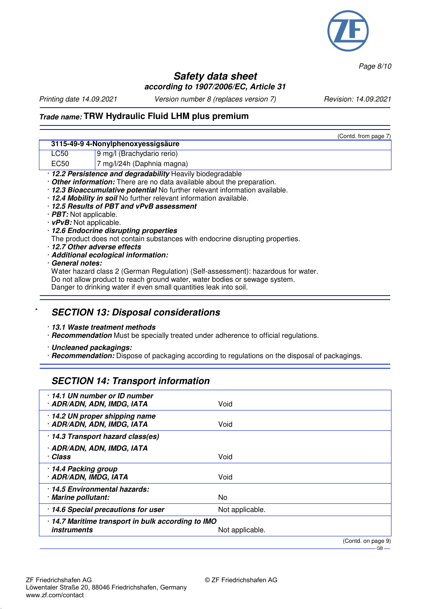

*Page 8/10*

#### **Safety data sheet according to 1907/2006/EC, Article 31**

*Printing date 14.09.2021 Version number 8 (replaces version 7) Revision: 14.09.2021*

 $(C_{\text{cutoff}}$  from page 7)

#### **Trade name: TRW Hydraulic Fluid LHM plus premium**

|                                                                               |                                                                                  | Conta. Ironi page 7 |  |  |
|-------------------------------------------------------------------------------|----------------------------------------------------------------------------------|---------------------|--|--|
|                                                                               | 3115-49-9 4-Nonylphenoxyessigsäure                                               |                     |  |  |
| LC50                                                                          | 9 mg/l (Brachydario rerio)                                                       |                     |  |  |
| EC <sub>50</sub>                                                              | 7 mg/l/24h (Daphnia magna)                                                       |                     |  |  |
|                                                                               | · 12.2 Persistence and degradability Heavily biodegradable                       |                     |  |  |
|                                                                               | Other information: There are no data available about the preparation.            |                     |  |  |
|                                                                               | · 12.3 Bioaccumulative potential No further relevant information available.      |                     |  |  |
|                                                                               | · 12.4 Mobility in soil No further relevant information available.               |                     |  |  |
|                                                                               | 12.5 Results of PBT and vPvB assessment                                          |                     |  |  |
| $\cdot$ <i>PBT:</i> Not applicable.                                           |                                                                                  |                     |  |  |
| $\cdot$ vPvB: Not applicable.                                                 |                                                                                  |                     |  |  |
| · 12.6 Endocrine disrupting properties                                        |                                                                                  |                     |  |  |
| The product does not contain substances with endocrine disrupting properties. |                                                                                  |                     |  |  |
|                                                                               | 12.7 Other adverse effects                                                       |                     |  |  |
| · Additional ecological information:                                          |                                                                                  |                     |  |  |
| General notes:                                                                |                                                                                  |                     |  |  |
|                                                                               | Water hazard class 2 (German Regulation) (Self-assessment): hazardous for water. |                     |  |  |
|                                                                               | Do not allow product to reach ground water, water bodies or sewage system.       |                     |  |  |
|                                                                               | Danger to drinking water if even small quantities leak into soil.                |                     |  |  |

#### **SECTION 13: Disposal considerations**

· **13.1 Waste treatment methods**

· **Recommendation** Must be specially treated under adherence to official regulations.

· **Uncleaned packagings:**

· **Recommendation:** Dispose of packaging according to regulations on the disposal of packagings.

#### **SECTION 14: Transport information**

| 14.1 UN number or ID number<br>· ADR/ADN, ADN, IMDG, IATA                | Void               |
|--------------------------------------------------------------------------|--------------------|
| · 14.2 UN proper shipping name<br>· ADR/ADN, ADN, IMDG, IATA             | Void               |
| · 14.3 Transport hazard class(es)                                        |                    |
| · ADR/ADN, ADN, IMDG, IATA<br>· Class                                    | Void               |
| 14.4 Packing group<br>· ADR/ADN, IMDG, IATA                              | Void               |
| 14.5 Environmental hazards:<br>· Marine pollutant:                       | No                 |
| · 14.6 Special precautions for user                                      | Not applicable.    |
| · 14.7 Maritime transport in bulk according to IMO<br><i>instruments</i> | Not applicable.    |
|                                                                          | (Contd. on page 9) |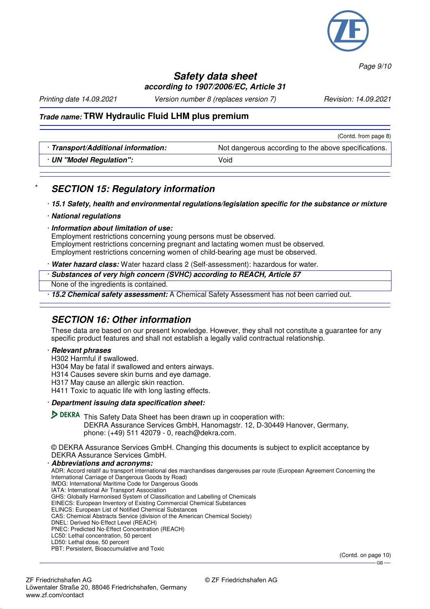

*Page 9/10*

 $-$  GB  $-$ 

#### **Safety data sheet according to 1907/2006/EC, Article 31**

*Printing date 14.09.2021 Version number 8 (replaces version 7) Revision: 14.09.2021*

#### **Trade name: TRW Hydraulic Fluid LHM plus premium**

|                                   | (Contd. from page 8)                                 |
|-----------------------------------|------------------------------------------------------|
| Transport/Additional information: | Not dangerous according to the above specifications. |
| · UN "Model Regulation":          | Void                                                 |
|                                   |                                                      |

## **SECTION 15: Regulatory information**

· **15.1 Safety, health and environmental regulations/legislation specific for the substance or mixture**

- · **National regulations**
- · **Information about limitation of use:**

Employment restrictions concerning young persons must be observed. Employment restrictions concerning pregnant and lactating women must be observed. Employment restrictions concerning women of child-bearing age must be observed.

· **Water hazard class:** Water hazard class 2 (Self-assessment): hazardous for water.

· **Substances of very high concern (SVHC) according to REACH, Article 57**

None of the ingredients is contained.

· **15.2 Chemical safety assessment:** A Chemical Safety Assessment has not been carried out.

## **SECTION 16: Other information**

These data are based on our present knowledge. However, they shall not constitute a guarantee for any specific product features and shall not establish a legally valid contractual relationship.

#### · **Relevant phrases**

- H302 Harmful if swallowed.
- H304 May be fatal if swallowed and enters airways.
- H314 Causes severe skin burns and eye damage.
- H317 May cause an allergic skin reaction.
- H411 Toxic to aquatic life with long lasting effects.

#### · **Department issuing data specification sheet:**

**DEKRA** This Safety Data Sheet has been drawn up in cooperation with: DEKRA Assurance Services GmbH, Hanomagstr. 12, D-30449 Hanover, Germany, phone: (+49) 511 42079 - 0, reach@dekra.com.

© DEKRA Assurance Services GmbH. Changing this documents is subject to explicit acceptance by DEKRA Assurance Services GmbH.

· **Abbreviations and acronyms:** ADR: Accord relatif au transport international des marchandises dangereuses par route (European Agreement Concerning the International Carriage of Dangerous Goods by Road) IMDG: International Maritime Code for Dangerous Goods IATA: International Air Transport Association GHS: Globally Harmonised System of Classification and Labelling of Chemicals EINECS: European Inventory of Existing Commercial Chemical Substances ELINCS: European List of Notified Chemical Substances CAS: Chemical Abstracts Service (division of the American Chemical Society) DNEL: Derived No-Effect Level (REACH) PNEC: Predicted No-Effect Concentration (REACH) LC50: Lethal concentration, 50 percent LD50: Lethal dose, 50 percent PBT: Persistent, Bioaccumulative and Toxic (Contd. on page 10)